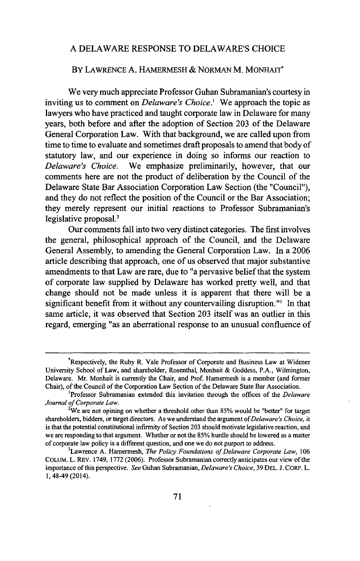## **A** DELAWARE **RESPONSE** TO DELAWARE'S **CHOICE**

## BY LAWRENCE **A.** HAMERMESH **&** NORMAN M. **MONHAIT'**

We very much appreciate Professor Guhan Subramanian's courtesy in inviting us to comment on *Delaware's Choice.'* We approach the topic as lawyers who have practiced and taught corporate law in Delaware for many years, both before and after the adoption of Section **203** of the Delaware General Corporation Law. With that background, we are called upon from time to time to evaluate and sometimes draft proposals to amend that body of statutory law, and our experience in doing so informs our reaction to *Delaware's Choice.* We emphasize preliminarily, however, that our comments here are not the product of deliberation **by** the Council of the Delaware State Bar Association Corporation Law Section (the "Council"), and they do not reflect the position of the Council or the Bar Association; they merely represent our initial reactions to Professor Subramanian's legislative proposal.'

Our comments fall into two very distinct categories. The first involves the general, philosophical approach of the Council, and the Delaware General Assembly, to amending the General Corporation Law. In a **2006** article describing that approach, one of us observed that major substantive amendments to that Law are rare, due to "a pervasive belief that the system of corporate law supplied **by** Delaware has worked pretty well, and that change should not be made unless it is apparent that there will be a significant benefit from it without any countervailing disruption."<sup>3</sup> In that same article, it was observed that Section **203** itself was an outlier in this regard, emerging "as an aberrational response to an unusual confluence of

<sup>\*</sup>Respectively, the Ruby R. Vale Professor of Corporate and Business Law at Widener University School of Law, and shareholder, Rosenthal, Monhait **&** Goddess, P.A., Wilmington, Delaware. Mr. Monhait is currently the Chair, and Prof. Hamermesh is a member (and former Chair), of the Council of the Corporation Law Section of the Delaware State Bar Association.

<sup>&#</sup>x27;Professor Subramanian extended this invitation through the offices of the *Delaware Journal of Corporate Law.*

<sup>2</sup> We are not opining on whether a threshold other than **85%** would be "better" for target shareholders, bidders, or target directors. As we understand the argument of *Delaware's Choice, it* is that the potential constitutional infirmity of Section **203** should motivate legislative reaction, and we are responding to that argument. Whether or not the **85%** hurdle should be lowered as a matter of corporate law policy is a different question, and one we do not purport to address. <sup>3</sup>

Lawrence **A.** Hamermesh, *The Policy Foundations of Delaware Corporate Law, 106* **COLUM.** L. REv. 1749, **1772 (2006).** Professor Subramanian correctly anticipates our view of the importance of this perspective. *See* Guhan Subramanian, *Delaware's Choice,* **39 DEL. J.** CORP. L. 1,48-49 (2014).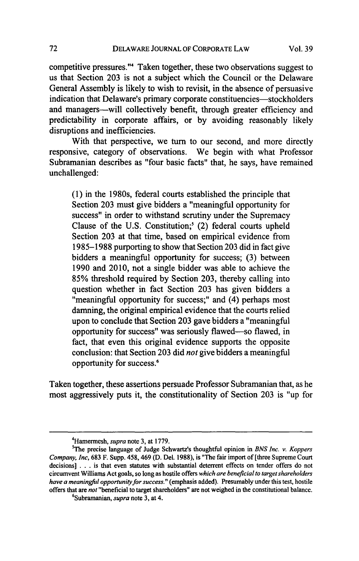competitive pressures."' Taken together, these two observations suggest to us that Section **203** is not a subject which the Council or the Delaware General Assembly is likely to wish to revisit, in the absence of persuasive indication that Delaware's primary corporate constituencies—stockholders and managers-will collectively benefit, through greater efficiency and predictability in corporate affairs, or **by** avoiding reasonably likely disruptions and inefficiencies.

With that perspective, we turn to our second, and more directly responsive, category of observations. We begin with what Professor Subramanian describes as "four basic facts" that, he says, have remained unchallenged:

**(1)** in the 1980s, federal courts established the principle that Section **203** must give bidders a "meaningful opportunity for success" in order to withstand scrutiny under the Supremacy Clause of the **U.S.** Constitution;' (2) federal courts upheld Section **203** at that time, based on empirical evidence from **1985-1988** purporting to show that Section **203** did in fact give bidders a meaningful opportunity for success; **(3)** between **1990** and 2010, not a single bidder was able to achieve the **85%** threshold required **by** Section **203,** thereby calling into question whether in fact Section **203** has given bidders a "meaningful opportunity for success;" and (4) perhaps most damning, the original empirical evidence that the courts relied upon to conclude that Section **203** gave bidders a "meaningful opportunity for success" was seriously flawed-so flawed, in fact, that even this original evidence supports the opposite conclusion: that Section **203** did *not* give bidders a meaningful opportunity for success.'

Taken together, these assertions persuade Professor Subramanian that, as he most aggressively puts it, the constitutionality of Section **203** is "up for

<sup>4</sup> Hamermesh, *supra* note **3,** at **1779.**

<sup>5</sup> The precise language of Judge Schwartz's thoughtful opinion in *BNS Inc. v. Koppers Company, Inc,* **683** F. Supp. 458, 469 **(D.** Del. **1988),** is "The fair import of [three Supreme Court decisions] **.** . **.** is that even statutes with substantial deterrent effects on tender offers do not circumvent Williams Act goals, so long as hostile offers *which are beneficial to target shareholders have a meaningful opportunity for success."* (emphasis added). Presumably under this test, hostile offers that are *not* "beneficial to target shareholders" are not weighed in the constitutional balance.

<sup>6</sup> Subramanian, *supra* note **3,** at 4.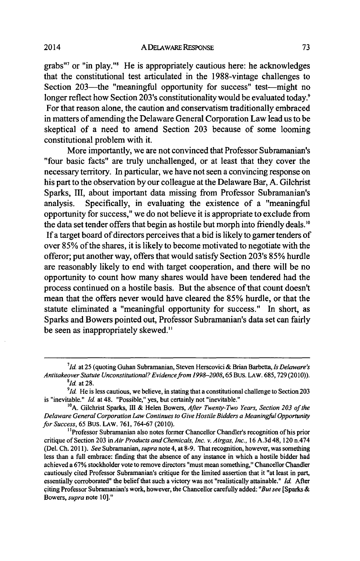grabs"' or "in play."' He is appropriately cautious here: he acknowledges that the constitutional test articulated in the 1988-vintage challenges to Section 203—the "meaningful opportunity for success" test—might no longer reflect how Section 203's constitutionality would be evaluated today.<sup>9</sup> For that reason alone, the caution and conservatism traditionally embraced in matters of amending the Delaware General Corporation Law lead us to be skeptical of a need to amend Section **203** because of some looming constitutional problem with it.

More importantly, we are not convinced that Professor Subramanian's "four basic facts" are truly unchallenged, or at least that they cover the necessary territory. In particular, we have not seen a convincing response on his part to the observation **by** our colleague at the Delaware Bar, **A.** Gilchrist Sparks, III, about important data missing from Professor Subramanian's analysis. Specifically, in evaluating the existence of a "meaningful opportunity for success," we do not believe it is appropriate to exclude from the data set tender offers that begin as hostile but morph into friendly deals.<sup>10</sup> **If** a target board of directors perceives that a bid is likely to gamer tenders of over *85%* of the shares, it is likely to become motivated to negotiate with the offeror; put another way, offers that would satisfy Section 203's *85%* hurdle are reasonably likely to end with target cooperation, and there will be no opportunity to count how many shares would have been tendered had the process continued on a hostile basis. But the absence of that count doesn't mean that the offers never would have cleared the *85%* hurdle, or that the statute eliminated a "meaningful opportunity for success." In short, as Sparks and Bowers pointed out, Professor Subramanian's data set can fairly be seen as inappropriately skewed."

*<sup>7</sup> 1d.* at **25** (quoting Guhan Subramanian, Steven Herscovici **&** Brian Barbetta, *Is Delaware's Antitakeover Statute Unconstitutional? Evidence from 1998-2008,65* Bus. LAW. **685, 729 (2010)).** *Id.* at **28.**

*<sup>9</sup> 1d.* He is less cautious, we believe, in stating that a constitutional challenge to Section **203** is "inevitable." *Id.* at 48. "Possible," yes, but certainly not "inevitable."

**<sup>&#</sup>x27; 0 A.** Gilchrist Sparks, **IH &** Helen *Bowers, After Twenty-Two Years, Section 203 of the Delaware General Corporation Law Continues to Give Hostile Bidders a Meaningful Opportunity for Success, 65* Bus. **LAW. 761, 764-67 (2010).**

<sup>&</sup>lt;sup>11</sup>Professor Subramanian also notes former Chancellor Chandler's recognition of his prior critique of Section **203** *in Air Products and Chemicals, Inc. v. Airgas, Inc.,* **16 A.3d** 48, 120 n.474 (Del. **Ch.** *2011). See Subramanian, supra* note 4, at **8-9.** That recognition, however, was something less than a full embrace: finding that the absence of any instance in which a hostile bidder had achieved a **67%** stockholder vote to remove directors "must mean something," Chancellor Chandler cautiously cited Professor Subramanian's critique for the limited assertion that it "at least in **part,** essentially corroborated" the belief that such a victory was not "realistically attainable." *Id* **After** citing Professor Subramanian's work, however, the Chancellor carefully added: *"But see* **[Sparks &** Bowers, *supra note* **10]."**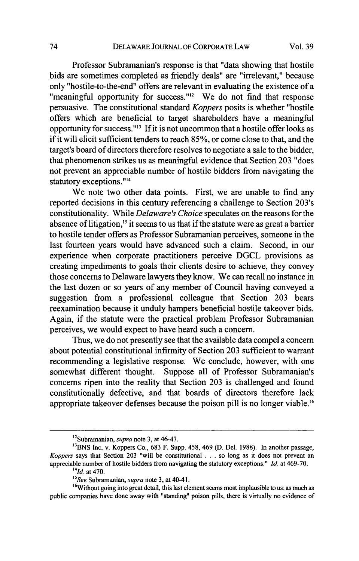Professor Subramanian's response is that "data showing that hostile bids are sometimes completed as friendly deals" are "irrelevant," because only "hostile-to-the-end" offers are relevant in evaluating the existence of a "meaningful opportunity for success."<sup>12</sup> We do not find that response persuasive. The constitutional standard *Koppers* posits is whether "hostile offers which are beneficial to target shareholders have a meaningful opportunity for success."<sup>13</sup> If it is not uncommon that a hostile offer looks as if it will elicit sufficient tenders to reach *85%,* or come close to that, and the target's board of directors therefore resolves to negotiate a sale to the bidder, that phenomenon strikes us as meaningful evidence that Section **203** "does not prevent an appreciable number of hostile bidders from navigating the statutory exceptions."<sup>14</sup>

We note two other data points. First, we are unable to find any reported decisions in this century referencing a challenge to Section 203's constitutionality. While *Delaware's Choice* speculates on the reasons for the absence of litigation," it seems to us that if the statute were as great a barrier to hostile tender offers as Professor Subramanian perceives, someone in the last fourteen years would have advanced such a claim. Second, in our experience when corporate practitioners perceive **DGCL** provisions as creating impediments to goals their clients desire to achieve, they convey those concerns to Delaware lawyers they know. We can recall no instance in the last dozen or so years of any member of Council having conveyed a suggestion from a professional colleague that Section **203** bears reexamination because it unduly hampers beneficial hostile takeover bids. Again, if the statute were the practical problem Professor Subramanian perceives, we would expect to have heard such a concern.

Thus, we do not presently see that the available data compel a concern about potential constitutional infirmity of Section **203** sufficient to warrant recommending a legislative response. We conclude, however, with one somewhat different thought. Suppose all of Professor Subramanian's concerns ripen into the reality that Section **203** is challenged and found constitutionally defective, and that boards of directors therefore lack appropriate takeover defenses because the poison pill is no longer viable."

<sup>12</sup>Subramanian, *supra* note **3,** at 46-47.

**<sup>1</sup> 3 BNS** Inc. v. Koppers Co., **683** F. Supp. 458, 469 **(D.** Del. **1988).** In another passage, *Koppers* says that Section **203** "will be constitutional **. . .** so long as it does not prevent an appreciable number of hostile bidders from navigating the statutory exceptions." *Id.* at **469-70.** *14Id.* at 470.

*<sup>&</sup>quot;See* Subramanian, *supra* note **3,** at 40-41.

<sup>&</sup>lt;sup>16</sup>Without going into great detail, this last element seems most implausible to us: as much as public companies have done away with "standing" poison pills, there is virtually no evidence of